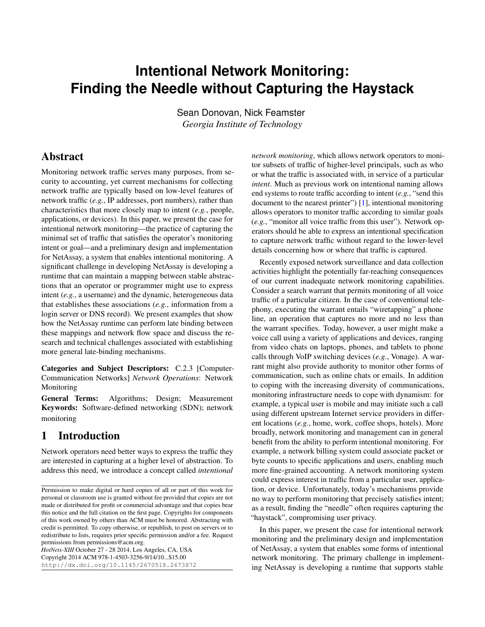# **Intentional Network Monitoring: Finding the Needle without Capturing the Haystack**

Sean Donovan, Nick Feamster *Georgia Institute of Technology*

### Abstract

Monitoring network traffic serves many purposes, from security to accounting, yet current mechanisms for collecting network traffic are typically based on low-level features of network traffic (*e.g.*, IP addresses, port numbers), rather than characteristics that more closely map to intent (*e.g.*, people, applications, or devices). In this paper, we present the case for intentional network monitoring—the practice of capturing the minimal set of traffic that satisfies the operator's monitoring intent or goal—and a preliminary design and implementation for NetAssay, a system that enables intentional monitoring. A significant challenge in developing NetAssay is developing a runtime that can maintain a mapping between stable abstractions that an operator or programmer might use to express intent (*e.g.*, a username) and the dynamic, heterogeneous data that establishes these associations (*e.g.*, information from a login server or DNS record). We present examples that show how the NetAssay runtime can perform late binding between these mappings and network flow space and discuss the research and technical challenges associated with establishing more general late-binding mechanisms.

Categories and Subject Descriptors: C.2.3 [Computer-Communication Networks] *Network Operations*: Network Monitoring

General Terms: Algorithms; Design; Measurement Keywords: Software-defined networking (SDN); network monitoring

### 1 Introduction

Network operators need better ways to express the traffic they are interested in capturing at a higher level of abstraction. To address this need, we introduce a concept called *intentional*

*HotNets-XIII* October 27 - 28 2014, Los Angeles, CA, USA Copyright 2014 ACM 978-1-4503-3256-9/14/10...\$15.00 <http://dx.doi.org/10.1145/2670518.2673872> *network monitoring*, which allows network operators to monitor subsets of traffic of higher-level principals, such as who or what the traffic is associated with, in service of a particular *intent*. Much as previous work on intentional naming allows end systems to route traffic according to intent (*e.g.*, "send this document to the nearest printer") [\[1\]](#page-6-0), intentional monitoring allows operators to monitor traffic according to similar goals (*e.g.*, "monitor all voice traffic from this user"). Network operators should be able to express an intentional specification to capture network traffic without regard to the lower-level details concerning how or where that traffic is captured.

Recently exposed network surveillance and data collection activities highlight the potentially far-reaching consequences of our current inadequate network monitoring capabilities. Consider a search warrant that permits monitoring of all voice traffic of a particular citizen. In the case of conventional telephony, executing the warrant entails "wiretapping" a phone line, an operation that captures no more and no less than the warrant specifies. Today, however, a user might make a voice call using a variety of applications and devices, ranging from video chats on laptops, phones, and tablets to phone calls through VoIP switching devices (*e.g.*, Vonage). A warrant might also provide authority to monitor other forms of communication, such as online chats or emails. In addition to coping with the increasing diversity of communications, monitoring infrastructure needs to cope with dynamism: for example, a typical user is mobile and may initiate such a call using different upstream Internet service providers in different locations (*e.g.*, home, work, coffee shops, hotels). More broadly, network monitoring and management can in general benefit from the ability to perform intentional monitoring. For example, a network billing system could associate packet or byte counts to specific applications and users, enabling much more fine-grained accounting. A network monitoring system could express interest in traffic from a particular user, application, or device. Unfortunately, today's mechanisms provide no way to perform monitoring that precisely satisfies intent; as a result, finding the "needle" often requires capturing the "haystack", compromising user privacy.

In this paper, we present the case for intentional network monitoring and the preliminary design and implementation of NetAssay, a system that enables some forms of intentional network monitoring. The primary challenge in implementing NetAssay is developing a runtime that supports stable

Permission to make digital or hard copies of all or part of this work for personal or classroom use is granted without fee provided that copies are not made or distributed for profit or commercial advantage and that copies bear this notice and the full citation on the first page. Copyrights for components of this work owned by others than ACM must be honored. Abstracting with credit is permitted. To copy otherwise, or republish, to post on servers or to redistribute to lists, requires prior specific permission and/or a fee. Request permissions from permissions@acm.org.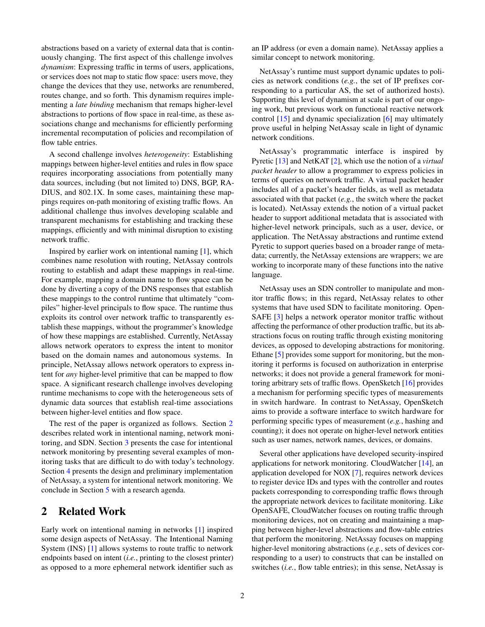abstractions based on a variety of external data that is continuously changing. The first aspect of this challenge involves *dynamism*: Expressing traffic in terms of users, applications, or services does not map to static flow space: users move, they change the devices that they use, networks are renumbered, routes change, and so forth. This dynamism requires implementing a *late binding* mechanism that remaps higher-level abstractions to portions of flow space in real-time, as these associations change and mechanisms for efficiently performing incremental recomputation of policies and recompilation of flow table entries.

A second challenge involves *heterogeneity*: Establishing mappings between higher-level entities and rules in flow space requires incorporating associations from potentially many data sources, including (but not limited to) DNS, BGP, RA-DIUS, and 802.1X. In some cases, maintaining these mappings requires on-path monitoring of existing traffic flows. An additional challenge thus involves developing scalable and transparent mechanisms for establishing and tracking these mappings, efficiently and with minimal disruption to existing network traffic.

Inspired by earlier work on intentional naming [\[1\]](#page-6-0), which combines name resolution with routing, NetAssay controls routing to establish and adapt these mappings in real-time. For example, mapping a domain name to flow space can be done by diverting a copy of the DNS responses that establish these mappings to the control runtime that ultimately "compiles" higher-level principals to flow space. The runtime thus exploits its control over network traffic to transparently establish these mappings, without the programmer's knowledge of how these mappings are established. Currently, NetAssay allows network operators to express the intent to monitor based on the domain names and autonomous systems. In principle, NetAssay allows network operators to express intent for *any* higher-level primitive that can be mapped to flow space. A significant research challenge involves developing runtime mechanisms to cope with the heterogeneous sets of dynamic data sources that establish real-time associations between higher-level entities and flow space.

The rest of the paper is organized as follows. Section [2](#page-1-0) describes related work in intentional naming, network monitoring, and SDN. Section [3](#page-2-0) presents the case for intentional network monitoring by presenting several examples of monitoring tasks that are difficult to do with today's technology. Section [4](#page-2-1) presents the design and preliminary implementation of NetAssay, a system for intentional network monitoring. We conclude in Section [5](#page-5-0) with a research agenda.

### <span id="page-1-0"></span>2 Related Work

Early work on intentional naming in networks [\[1\]](#page-6-0) inspired some design aspects of NetAssay. The Intentional Naming System (INS) [\[1\]](#page-6-0) allows systems to route traffic to network endpoints based on intent (*i.e.*, printing to the closest printer) as opposed to a more ephemeral network identifier such as

an IP address (or even a domain name). NetAssay applies a similar concept to network monitoring.

NetAssay's runtime must support dynamic updates to policies as network conditions (*e.g.*, the set of IP prefixes corresponding to a particular AS, the set of authorized hosts). Supporting this level of dynamism at scale is part of our ongoing work, but previous work on functional reactive network control [\[15\]](#page-6-1) and dynamic specialization [\[6\]](#page-6-2) may ultimately prove useful in helping NetAssay scale in light of dynamic network conditions.

NetAssay's programmatic interface is inspired by Pyretic [\[13\]](#page-6-3) and NetKAT [\[2\]](#page-6-4), which use the notion of a *virtual packet header* to allow a programmer to express policies in terms of queries on network traffic. A virtual packet header includes all of a packet's header fields, as well as metadata associated with that packet (*e.g.*, the switch where the packet is located). NetAssay extends the notion of a virtual packet header to support additional metadata that is associated with higher-level network principals, such as a user, device, or application. The NetAssay abstractions and runtime extend Pyretic to support queries based on a broader range of metadata; currently, the NetAssay extensions are wrappers; we are working to incorporate many of these functions into the native language.

NetAssay uses an SDN controller to manipulate and monitor traffic flows; in this regard, NetAssay relates to other systems that have used SDN to facilitate monitoring. Open-SAFE [\[3\]](#page-6-5) helps a network operator monitor traffic without affecting the performance of other production traffic, but its abstractions focus on routing traffic through existing monitoring devices, as opposed to developing abstractions for monitoring. Ethane [\[5\]](#page-6-6) provides some support for monitoring, but the monitoring it performs is focused on authorization in enterprise networks; it does not provide a general framework for monitoring arbitrary sets of traffic flows. OpenSketch [\[16\]](#page-6-7) provides a mechanism for performing specific types of measurements in switch hardware. In contrast to NetAssay, OpenSketch aims to provide a software interface to switch hardware for performing specific types of measurement (*e.g.*, hashing and counting); it does not operate on higher-level network entities such as user names, network names, devices, or domains.

Several other applications have developed security-inspired applications for network monitoring. CloudWatcher [\[14\]](#page-6-8), an application developed for NOX [\[7\]](#page-6-9), requires network devices to register device IDs and types with the controller and routes packets corresponding to corresponding traffic flows through the appropriate network devices to facilitate monitoring. Like OpenSAFE, CloudWatcher focuses on routing traffic through monitoring devices, not on creating and maintaining a mapping between higher-level abstractions and flow-table entries that perform the monitoring. NetAssay focuses on mapping higher-level monitoring abstractions (*e.g.*, sets of devices corresponding to a user) to constructs that can be installed on switches (*i.e.*, flow table entries); in this sense, NetAssay is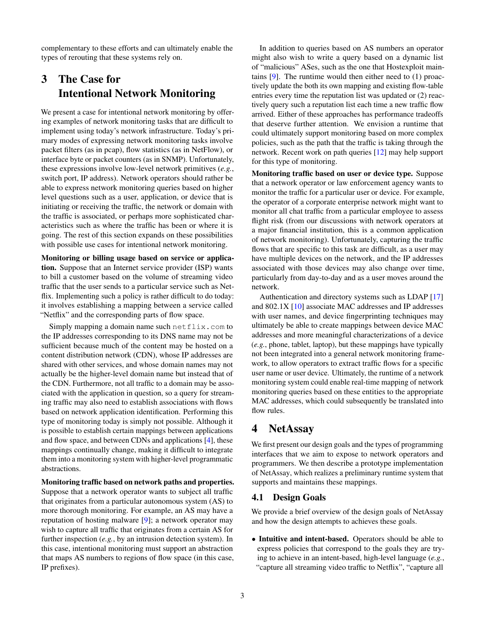complementary to these efforts and can ultimately enable the types of rerouting that these systems rely on.

## <span id="page-2-0"></span>3 The Case for Intentional Network Monitoring

We present a case for intentional network monitoring by offering examples of network monitoring tasks that are difficult to implement using today's network infrastructure. Today's primary modes of expressing network monitoring tasks involve packet filters (as in pcap), flow statistics (as in NetFlow), or interface byte or packet counters (as in SNMP). Unfortunately, these expressions involve low-level network primitives (*e.g.*, switch port, IP address). Network operators should rather be able to express network monitoring queries based on higher level questions such as a user, application, or device that is initiating or receiving the traffic, the network or domain with the traffic is associated, or perhaps more sophisticated characteristics such as where the traffic has been or where it is going. The rest of this section expands on these possibilities with possible use cases for intentional network monitoring.

Monitoring or billing usage based on service or application. Suppose that an Internet service provider (ISP) wants to bill a customer based on the volume of streaming video traffic that the user sends to a particular service such as Netflix. Implementing such a policy is rather difficult to do today: it involves establishing a mapping between a service called "Netflix" and the corresponding parts of flow space.

Simply mapping a domain name such netflix.com to the IP addresses corresponding to its DNS name may not be sufficient because much of the content may be hosted on a content distribution network (CDN), whose IP addresses are shared with other services, and whose domain names may not actually be the higher-level domain name but instead that of the CDN. Furthermore, not all traffic to a domain may be associated with the application in question, so a query for streaming traffic may also need to establish associations with flows based on network application identification. Performing this type of monitoring today is simply not possible. Although it is possible to establish certain mappings between applications and flow space, and between CDNs and applications [\[4\]](#page-6-10), these mappings continually change, making it difficult to integrate them into a monitoring system with higher-level programmatic abstractions.

Monitoring traffic based on network paths and properties. Suppose that a network operator wants to subject all traffic that originates from a particular autonomous system (AS) to more thorough monitoring. For example, an AS may have a reputation of hosting malware [\[9\]](#page-6-11); a network operator may wish to capture all traffic that originates from a certain AS for further inspection (*e.g.*, by an intrusion detection system). In this case, intentional monitoring must support an abstraction that maps AS numbers to regions of flow space (in this case, IP prefixes).

In addition to queries based on AS numbers an operator might also wish to write a query based on a dynamic list of "malicious" ASes, such as the one that Hostexploit maintains [\[9\]](#page-6-11). The runtime would then either need to (1) proactively update the both its own mapping and existing flow-table entries every time the reputation list was updated or (2) reactively query such a reputation list each time a new traffic flow arrived. Either of these approaches has performance tradeoffs that deserve further attention. We envision a runtime that could ultimately support monitoring based on more complex policies, such as the path that the traffic is taking through the network. Recent work on path queries [\[12\]](#page-6-12) may help support for this type of monitoring.

Monitoring traffic based on user or device type. Suppose that a network operator or law enforcement agency wants to monitor the traffic for a particular user or device. For example, the operator of a corporate enterprise network might want to monitor all chat traffic from a particular employee to assess flight risk (from our discussions with network operators at a major financial institution, this is a common application of network monitoring). Unfortunately, capturing the traffic flows that are specific to this task are difficult, as a user may have multiple devices on the network, and the IP addresses associated with those devices may also change over time, particularly from day-to-day and as a user moves around the network.

Authentication and directory systems such as LDAP [\[17\]](#page-6-13) and 802.1X [\[10\]](#page-6-14) associate MAC addresses and IP addresses with user names, and device fingerprinting techniques may ultimately be able to create mappings between device MAC addresses and more meaningful characterizations of a device (*e.g.*, phone, tablet, laptop), but these mappings have typically not been integrated into a general network monitoring framework, to allow operators to extract traffic flows for a specific user name or user device. Ultimately, the runtime of a network monitoring system could enable real-time mapping of network monitoring queries based on these entities to the appropriate MAC addresses, which could subsequently be translated into flow rules.

### <span id="page-2-1"></span>4 NetAssay

We first present our design goals and the types of programming interfaces that we aim to expose to network operators and programmers. We then describe a prototype implementation of NetAssay, which realizes a preliminary runtime system that supports and maintains these mappings.

### 4.1 Design Goals

We provide a brief overview of the design goals of NetAssay and how the design attempts to achieves these goals.

• Intuitive and intent-based. Operators should be able to express policies that correspond to the goals they are trying to achieve in an intent-based, high-level language (*e.g.*, "capture all streaming video traffic to Netflix", "capture all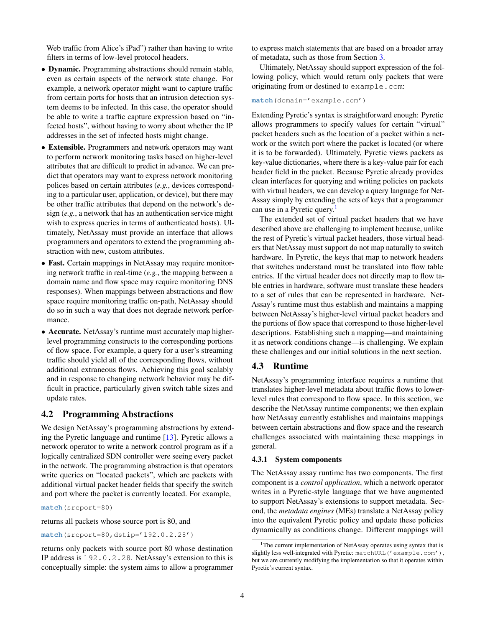Web traffic from Alice's iPad") rather than having to write filters in terms of low-level protocol headers.

- Dynamic. Programming abstractions should remain stable, even as certain aspects of the network state change. For example, a network operator might want to capture traffic from certain ports for hosts that an intrusion detection system deems to be infected. In this case, the operator should be able to write a traffic capture expression based on "infected hosts", without having to worry about whether the IP addresses in the set of infected hosts might change.
- Extensible. Programmers and network operators may want to perform network monitoring tasks based on higher-level attributes that are difficult to predict in advance. We can predict that operators may want to express network monitoring polices based on certain attributes (*e.g.*, devices corresponding to a particular user, application, or device), but there may be other traffic attributes that depend on the network's design (*e.g.*, a network that has an authentication service might wish to express queries in terms of authenticated hosts). Ultimately, NetAssay must provide an interface that allows programmers and operators to extend the programming abstraction with new, custom attributes.
- Fast. Certain mappings in NetAssay may require monitoring network traffic in real-time (*e.g.*, the mapping between a domain name and flow space may require monitoring DNS responses). When mappings between abstractions and flow space require monitoring traffic on-path, NetAssay should do so in such a way that does not degrade network performance.
- Accurate. NetAssay's runtime must accurately map higherlevel programming constructs to the corresponding portions of flow space. For example, a query for a user's streaming traffic should yield all of the corresponding flows, without additional extraneous flows. Achieving this goal scalably and in response to changing network behavior may be difficult in practice, particularly given switch table sizes and update rates.

#### 4.2 Programming Abstractions

We design NetAssay's programming abstractions by extending the Pyretic language and runtime [\[13\]](#page-6-3). Pyretic allows a network operator to write a network control program as if a logically centralized SDN controller were seeing every packet in the network. The programming abstraction is that operators write queries on "located packets", which are packets with additional virtual packet header fields that specify the switch and port where the packet is currently located. For example,

**match**(srcport=80)

returns all packets whose source port is 80, and

**match**(srcport=80,dstip='192.0.2.28')

to express match statements that are based on a broader array of metadata, such as those from Section [3.](#page-2-0)

Ultimately, NetAssay should support expression of the following policy, which would return only packets that were originating from or destined to <example.com>:

#### **match**(domain='example.com')

Extending Pyretic's syntax is straightforward enough: Pyretic allows programmers to specify values for certain "virtual" packet headers such as the location of a packet within a network or the switch port where the packet is located (or where it is to be forwarded). Ultimately, Pyretic views packets as key-value dictionaries, where there is a key-value pair for each header field in the packet. Because Pyretic already provides clean interfaces for querying and writing policies on packets with virtual headers, we can develop a query language for Net-Assay simply by extending the sets of keys that a programmer can use in a Pyretic query.<sup>[1](#page-3-0)</sup>

The extended set of virtual packet headers that we have described above are challenging to implement because, unlike the rest of Pyretic's virtual packet headers, those virtual headers that NetAssay must support do not map naturally to switch hardware. In Pyretic, the keys that map to network headers that switches understand must be translated into flow table entries. If the virtual header does not directly map to flow table entries in hardware, software must translate these headers to a set of rules that can be represented in hardware. Net-Assay's runtime must thus establish and maintains a mapping between NetAssay's higher-level virtual packet headers and the portions of flow space that correspond to those higher-level descriptions. Establishing such a mapping—and maintaining it as network conditions change—is challenging. We explain these challenges and our initial solutions in the next section.

#### 4.3 Runtime

NetAssay's programming interface requires a runtime that translates higher-level metadata about traffic flows to lowerlevel rules that correspond to flow space. In this section, we describe the NetAssay runtime components; we then explain how NetAssay currently establishes and maintains mappings between certain abstractions and flow space and the research challenges associated with maintaining these mappings in general.

#### 4.3.1 System components

The NetAssay assay runtime has two components. The first component is a *control application*, which a network operator writes in a Pyretic-style language that we have augmented to support NetAssay's extensions to support metadata. Second, the *metadata engines* (MEs) translate a NetAssay policy into the equivalent Pyretic policy and update these policies dynamically as conditions change. Different mappings will

returns only packets with source port 80 whose destination IP address is 192.0.2.28. NetAssay's extension to this is conceptually simple: the system aims to allow a programmer

<span id="page-3-0"></span><sup>&</sup>lt;sup>1</sup>The current implementation of NetAssay operates using syntax that is slightly less well-integrated with Pyretic: matchURL ('example.com'), but we are currently modifying the implementation so that it operates within Pyretic's current syntax.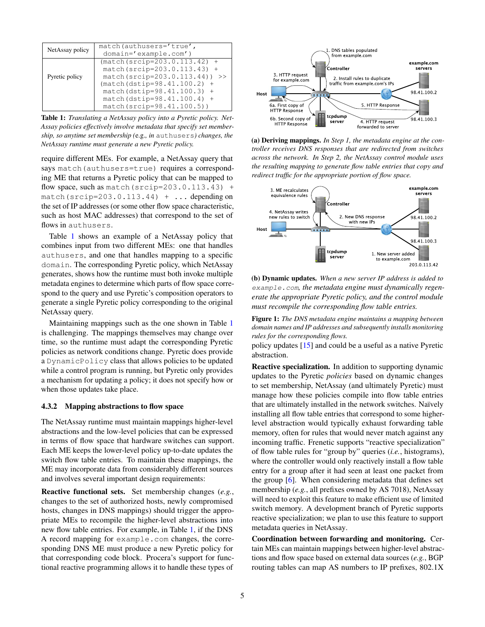<span id="page-4-0"></span>

| NetAssay policy | match (authusers='true',<br>domain='example.com')                                                                                                                                                                           |
|-----------------|-----------------------------------------------------------------------------------------------------------------------------------------------------------------------------------------------------------------------------|
| Pyretic policy  | $(match(srcip=203.0.113.42) +$<br>match(srcip=203.0.113.43) +<br>match(srcip=203.0.113.44)) >><br>(match(dstip=98.41.100.2) +<br>$match (dstip=98.41.100.3) +$<br>match(dstip=98.41.100.4) +<br>$match(srcip=98.41.100.5))$ |

Table 1: *Translating a NetAssay policy into a Pyretic policy. Net-Assay policies effectively involve metadata that specify set membership, so anytime set membership (*e.g.*, in* authusers*) changes, the NetAssay runtime must generate a new Pyretic policy.*

require different MEs. For example, a NetAssay query that says match (authusers=true) requires a corresponding ME that returns a Pyretic policy that can be mapped to flow space, such as match(srcip=203.0.113.43) + match(srcip=203.0.113.44) + ... depending on the set of IP addresses (or some other flow space characteristic, such as host MAC addresses) that correspond to the set of flows in authusers.

Table [1](#page-4-0) shows an example of a NetAssay policy that combines input from two different MEs: one that handles authusers, and one that handles mapping to a specific domain. The corresponding Pyretic policy, which NetAssay generates, shows how the runtime must both invoke multiple metadata engines to determine which parts of flow space correspond to the query and use Pyretic's composition operators to generate a single Pyretic policy corresponding to the original NetAssay query.

Maintaining mappings such as the one shown in Table [1](#page-4-0) is challenging. The mappings themselves may change over time, so the runtime must adapt the corresponding Pyretic policies as network conditions change. Pyretic does provide a DynamicPolicy class that allows policies to be updated while a control program is running, but Pyretic only provides a mechanism for updating a policy; it does not specify how or when those updates take place.

#### 4.3.2 Mapping abstractions to flow space

The NetAssay runtime must maintain mappings higher-level abstractions and the low-level policies that can be expressed in terms of flow space that hardware switches can support. Each ME keeps the lower-level policy up-to-date updates the switch flow table entries. To maintain these mappings, the ME may incorporate data from considerably different sources and involves several important design requirements:

Reactive functional sets. Set membership changes (*e.g.*, changes to the set of authorized hosts, newly compromised hosts, changes in DNS mappings) should trigger the appropriate MEs to recompile the higher-level abstractions into new flow table entries. For example, in Table [1,](#page-4-0) if the DNS A record mapping for example.com changes, the corresponding DNS ME must produce a new Pyretic policy for that corresponding code block. Procera's support for functional reactive programming allows it to handle these types of

<span id="page-4-1"></span>

(a) Deriving mappings. *In Step 1, the metadata engine at the controller receives DNS responses that are redirected from switches across the network. In Step 2, the NetAssay control module uses the resulting mapping to generate flow table entries that copy and redirect traffic for the appropriate portion of flow space.*



(b) Dynamic updates. *When a new server IP address is added to* example.com*, the metadata engine must dynamically regenerate the appropriate Pyretic policy, and the control module must recompile the corresponding flow table entries.*

Figure 1: *The DNS metadata engine maintains a mapping between domain names and IP addresses and subsequently installs monitoring rules for the corresponding flows.*

policy updates [\[15\]](#page-6-1) and could be a useful as a native Pyretic abstraction.

Reactive specialization. In addition to supporting dynamic updates to the Pyretic *policies* based on dynamic changes to set membership, NetAssay (and ultimately Pyretic) must manage how these policies compile into flow table entries that are ultimately installed in the network switches. Naïvely installing all flow table entries that correspond to some higherlevel abstraction would typically exhaust forwarding table memory, often for rules that would never match against any incoming traffic. Frenetic supports "reactive specialization" of flow table rules for "group by" queries (*i.e.*, histograms), where the controller would only reactively install a flow table entry for a group after it had seen at least one packet from the group [\[6\]](#page-6-2). When considering metadata that defines set membership (*e.g.*, all prefixes owned by AS 7018), NetAssay will need to exploit this feature to make efficient use of limited switch memory. A development branch of Pyretic supports reactive specialization; we plan to use this feature to support metadata queries in NetAssay.

Coordination between forwarding and monitoring. Certain MEs can maintain mappings between higher-level abstractions and flow space based on external data sources (*e.g.*, BGP routing tables can map AS numbers to IP prefixes, 802.1X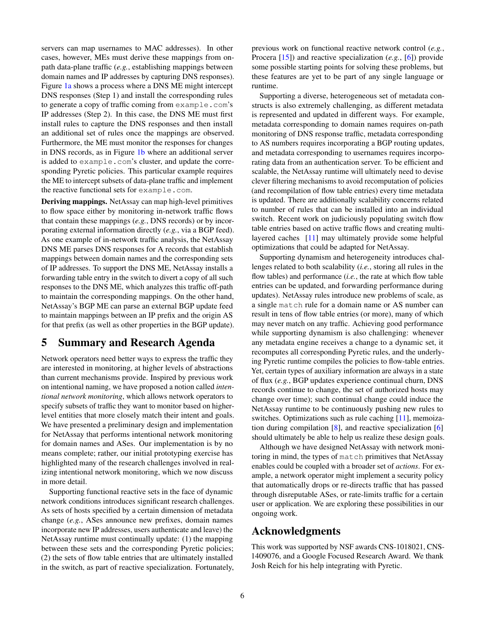servers can map usernames to MAC addresses). In other cases, however, MEs must derive these mappings from onpath data-plane traffic (*e.g.*, establishing mappings between domain names and IP addresses by capturing DNS responses). Figure [1a](#page-4-1) shows a process where a DNS ME might intercept DNS responses (Step 1) and install the corresponding rules to generate a copy of traffic coming from example.com's IP addresses (Step 2). In this case, the DNS ME must first install rules to capture the DNS responses and then install an additional set of rules once the mappings are observed. Furthermore, the ME must monitor the responses for changes in DNS records, as in Figure [1b](#page-4-1) where an additional server is added to example.com's cluster, and update the corresponding Pyretic policies. This particular example requires the ME to intercept subsets of data-plane traffic and implement the reactive functional sets for example.com.

Deriving mappings. NetAssay can map high-level primitives to flow space either by monitoring in-network traffic flows that contain these mappings (*e.g.*, DNS records) or by incorporating external information directly (*e.g.*, via a BGP feed). As one example of in-network traffic analysis, the NetAssay DNS ME parses DNS responses for A records that establish mappings between domain names and the corresponding sets of IP addresses. To support the DNS ME, NetAssay installs a forwarding table entry in the switch to divert a copy of all such responses to the DNS ME, which analyzes this traffic off-path to maintain the corresponding mappings. On the other hand, NetAssay's BGP ME can parse an external BGP update feed to maintain mappings between an IP prefix and the origin AS for that prefix (as well as other properties in the BGP update).

### <span id="page-5-0"></span>5 Summary and Research Agenda

Network operators need better ways to express the traffic they are interested in monitoring, at higher levels of abstractions than current mechanisms provide. Inspired by previous work on intentional naming, we have proposed a notion called *intentional network monitoring*, which allows network operators to specify subsets of traffic they want to monitor based on higherlevel entities that more closely match their intent and goals. We have presented a preliminary design and implementation for NetAssay that performs intentional network monitoring for domain names and ASes. Our implementation is by no means complete; rather, our initial prototyping exercise has highlighted many of the research challenges involved in realizing intentional network monitoring, which we now discuss in more detail.

Supporting functional reactive sets in the face of dynamic network conditions introduces significant research challenges. As sets of hosts specified by a certain dimension of metadata change (*e.g.*, ASes announce new prefixes, domain names incorporate new IP addresses, users authenticate and leave) the NetAssay runtime must continually update: (1) the mapping between these sets and the corresponding Pyretic policies; (2) the sets of flow table entries that are ultimately installed in the switch, as part of reactive specialization. Fortunately, previous work on functional reactive network control (*e.g.*, Procera [\[15\]](#page-6-1)) and reactive specialization (*e.g.*, [\[6\]](#page-6-2)) provide some possible starting points for solving these problems, but these features are yet to be part of any single language or runtime.

Supporting a diverse, heterogeneous set of metadata constructs is also extremely challenging, as different metadata is represented and updated in different ways. For example, metadata corresponding to domain names requires on-path monitoring of DNS response traffic, metadata corresponding to AS numbers requires incorporating a BGP routing updates, and metadata corresponding to usernames requires incorporating data from an authentication server. To be efficient and scalable, the NetAssay runtime will ultimately need to devise clever filtering mechanisms to avoid recomputation of policies (and recompilation of flow table entries) every time metadata is updated. There are additionally scalability concerns related to number of rules that can be installed into an individual switch. Recent work on judiciously populating switch flow table entries based on active traffic flows and creating multilayered caches [\[11\]](#page-6-15) may ultimately provide some helpful optimizations that could be adapted for NetAssay.

Supporting dynamism and heterogeneity introduces challenges related to both scalability (*i.e.*, storing all rules in the flow tables) and performance (*i.e.*, the rate at which flow table entries can be updated, and forwarding performance during updates). NetAssay rules introduce new problems of scale, as a single match rule for a domain name or AS number can result in tens of flow table entries (or more), many of which may never match on any traffic. Achieving good performance while supporting dynamism is also challenging: whenever any metadata engine receives a change to a dynamic set, it recomputes all corresponding Pyretic rules, and the underlying Pyretic runtime compiles the policies to flow-table entries. Yet, certain types of auxiliary information are always in a state of flux (*e.g.*, BGP updates experience continual churn, DNS records continue to change, the set of authorized hosts may change over time); such continual change could induce the NetAssay runtime to be continuously pushing new rules to switches. Optimizations such as rule caching [\[11\]](#page-6-15), memoization during compilation  $[8]$ , and reactive specialization  $[6]$ should ultimately be able to help us realize these design goals.

Although we have designed NetAssay with network monitoring in mind, the types of match primitives that NetAssay enables could be coupled with a broader set of *actions*. For example, a network operator might implement a security policy that automatically drops or re-directs traffic that has passed through disreputable ASes, or rate-limits traffic for a certain user or application. We are exploring these possibilities in our ongoing work.

### Acknowledgments

This work was supported by NSF awards CNS-1018021, CNS-1409076, and a Google Focused Research Award. We thank Josh Reich for his help integrating with Pyretic.